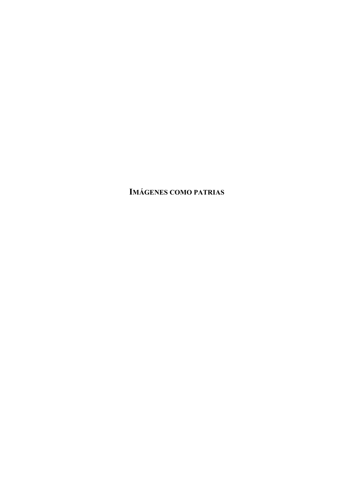**IMÁGENES COMO PATRIAS**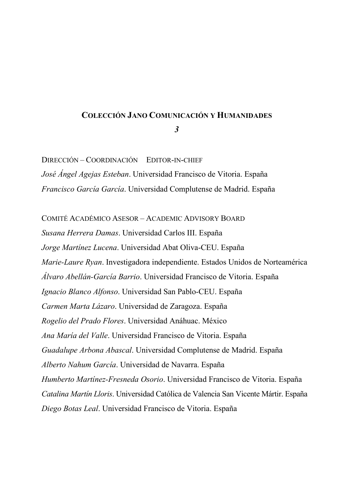### **COLECCIÓN JANO COMUNICACIÓN Y HUMANIDADES**

*3* 

DIRECCIÓN – COORDINACIÓN EDITOR-IN-CHIEF *José Ángel Agejas Esteban*. Universidad Francisco de Vitoria. España *Francisco García García*. Universidad Complutense de Madrid. España

COMITÉ ACADÉMICO ASESOR – ACADEMIC ADVISORY BOARD

*Susana Herrera Damas*. Universidad Carlos III. España *Jorge Martínez Lucena*. Universidad Abat Oliva-CEU. España *Marie-Laure Ryan*. Investigadora independiente. Estados Unidos de Norteamérica *Álvaro Abellán-García Barrio*. Universidad Francisco de Vitoria. España *Ignacio Blanco Alfonso*. Universidad San Pablo-CEU. España *Carmen Marta Lázaro*. Universidad de Zaragoza. España *Rogelio del Prado Flores*. Universidad Anáhuac. México *Ana María del Valle*. Universidad Francisco de Vitoria. España *Guadalupe Arbona Abascal*. Universidad Complutense de Madrid. España *Alberto Nahum García*. Universidad de Navarra. España *Humberto Martínez-Fresneda Osorio*. Universidad Francisco de Vitoria. España *Catalina Martín Lloris*. Universidad Católica de Valencia San Vicente Mártir. España *Diego Botas Leal*. Universidad Francisco de Vitoria. España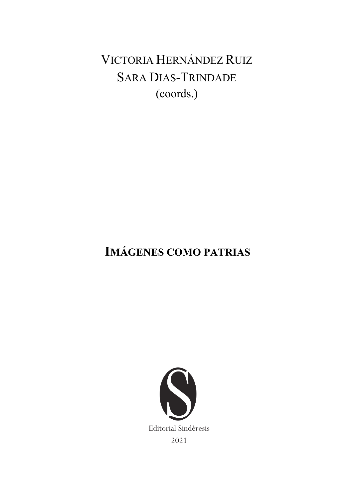# VICTORIA HERNÁNDEZ RUIZ **SARA DIAS-TRINDADE** (coords.)

# **IMÁGENES COMO PATRIAS**

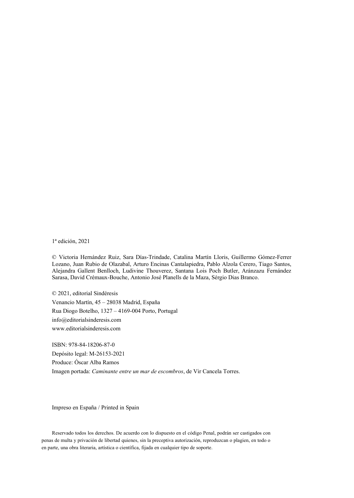1ª edición, 2021

© Victoria Hernández Ruiz, Sara Días-Trindade, Catalina Martín Lloris, Guillermo Gómez-Ferrer Lozano, Juan Rubio de Olazabal, Arturo Encinas Cantalapiedra, Pablo Alzola Cerero, Tiago Santos, Alejandra Gallent Benlloch, Ludivine Thouverez, Santana Lois Poch Butler, Aránzazu Fernández Sarasa, David Crémaux-Bouche, Antonio José Planells de la Maza, Sérgio Dias Branco.

© 2021, editorial Sindéresis Venancio Martín, 45 – 28038 Madrid, España Rua Diogo Botelho, 1327 – 4169-004 Porto, Portugal info@editorialsinderesis.com www.editorialsinderesis.com

ISBN: 978-84-18206-87-0 Depósito legal: M-26153-2021 Produce: Óscar Alba Ramos Imagen portada: *Caminante entre un mar de escombros*, de Vir Cancela Torres.

Impreso en España / Printed in Spain

Reservado todos los derechos. De acuerdo con lo dispuesto en el código Penal, podrán ser castigados con penas de multa y privación de libertad quienes, sin la preceptiva autorización, reproduzcan o plagien, en todo o en parte, una obra literaria, artística o científica, fijada en cualquier tipo de soporte.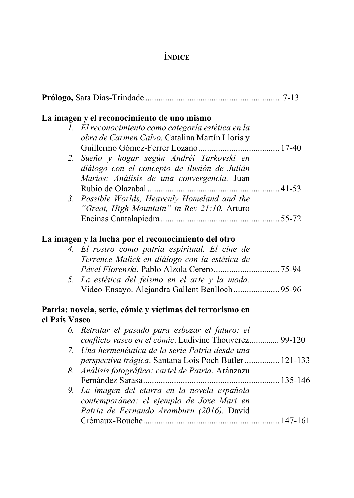# **ÍNDICE**

|               | La imagen y el reconocimiento de uno mismo                |  |
|---------------|-----------------------------------------------------------|--|
|               | 1. El reconocimiento como categoría estética en la        |  |
|               | obra de Carmen Calvo. Catalina Martín Lloris y            |  |
|               |                                                           |  |
|               | 2. Sueño y hogar según Andréi Tarkovski en                |  |
|               | diálogo con el concepto de ilusión de Julián              |  |
|               | Marías: Análisis de una convergencia. Juan                |  |
|               |                                                           |  |
|               | 3. Possible Worlds, Heavenly Homeland and the             |  |
|               | "Great, High Mountain" in Rev 21:10. Arturo               |  |
|               |                                                           |  |
|               |                                                           |  |
|               | La imagen y la lucha por el reconocimiento del otro       |  |
|               | 4. El rostro como patria espiritual. El cine de           |  |
|               | Terrence Malick en diálogo con la estética de             |  |
|               |                                                           |  |
|               | 5. La estética del feismo en el arte y la moda.           |  |
|               | Video-Ensayo. Alejandra Gallent Benlloch  95-96           |  |
|               |                                                           |  |
|               | Patria: novela, serie, cómic y víctimas del terrorismo en |  |
| el País Vasco |                                                           |  |
|               | 6. Retratar el pasado para esbozar el futuro: el          |  |
|               | conflicto vasco en el cómic. Ludivine Thouverez 99-120    |  |
|               | 7. Una hermenéutica de la serie Patria desde una          |  |
|               | perspectiva trágica. Santana Lois Poch Butler  121-133    |  |
|               | 8. Análisis fotográfico: cartel de Patria. Aránzazu       |  |
|               |                                                           |  |
|               |                                                           |  |
| 9.            | La imagen del etarra en la novela española                |  |
|               | contemporánea: el ejemplo de Joxe Mari en                 |  |
|               | Patria de Fernando Aramburu (2016). David                 |  |
|               |                                                           |  |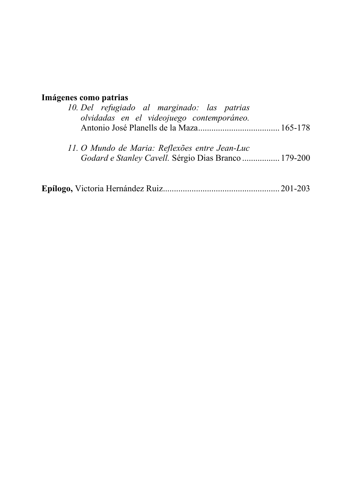# **Imágenes como patrias**

| 10. Del refugiado al marginado: las patrias<br>olvidadas en el videojuego contemporáneo.               |  |
|--------------------------------------------------------------------------------------------------------|--|
| 11. O Mundo de Maria: Reflexões entre Jean-Luc<br>Godard e Stanley Cavell. Sérgio Dias Branco  179-200 |  |
|                                                                                                        |  |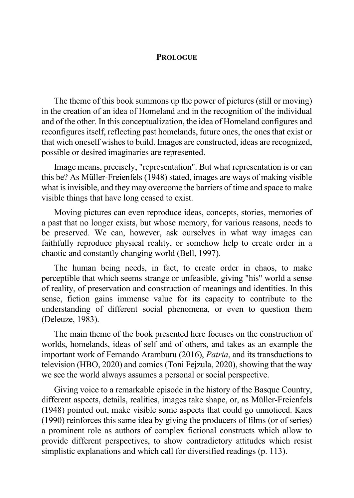#### **PROLOGUE**

The theme of this book summons up the power of pictures (still or moving) in the creation of an idea of Homeland and in the recognition of the individual and of the other. In this conceptualization, the idea of Homeland configures and reconfigures itself, reflecting past homelands, future ones, the ones that exist or that wich oneself wishes to build. Images are constructed, ideas are recognized, possible or desired imaginaries are represented.

Image means, precisely, "representation". But what representation is or can this be? As Müller-Freienfels (1948) stated, images are ways of making visible what is invisible, and they may overcome the barriers of time and space to make visible things that have long ceased to exist.

Moving pictures can even reproduce ideas, concepts, stories, memories of a past that no longer exists, but whose memory, for various reasons, needs to be preserved. We can, however, ask ourselves in what way images can faithfully reproduce physical reality, or somehow help to create order in a chaotic and constantly changing world (Bell, 1997).

The human being needs, in fact, to create order in chaos, to make perceptible that which seems strange or unfeasible, giving "his" world a sense of reality, of preservation and construction of meanings and identities. In this sense, fiction gains immense value for its capacity to contribute to the understanding of different social phenomena, or even to question them (Deleuze, 1983).

The main theme of the book presented here focuses on the construction of worlds, homelands, ideas of self and of others, and takes as an example the important work of Fernando Aramburu (2016), *Patria*, and its transductions to television (HBO, 2020) and comics (Toni Fejzula, 2020), showing that the way we see the world always assumes a personal or social perspective.

Giving voice to a remarkable episode in the history of the Basque Country, different aspects, details, realities, images take shape, or, as Müller-Freienfels (1948) pointed out, make visible some aspects that could go unnoticed. Kaes (1990) reinforces this same idea by giving the producers of films (or of series) a prominent role as authors of complex fictional constructs which allow to provide different perspectives, to show contradictory attitudes which resist simplistic explanations and which call for diversified readings (p. 113).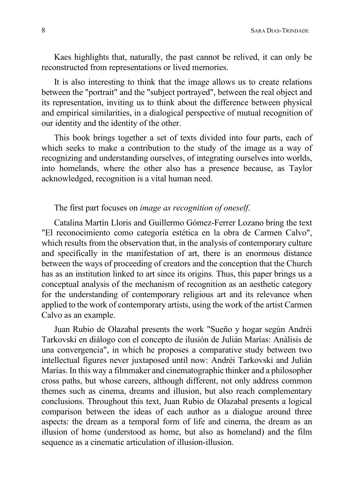Kaes highlights that, naturally, the past cannot be relived, it can only be reconstructed from representations or lived memories.

It is also interesting to think that the image allows us to create relations between the "portrait" and the "subject portrayed", between the real object and its representation, inviting us to think about the difference between physical and empirical similarities, in a dialogical perspective of mutual recognition of our identity and the identity of the other.

This book brings together a set of texts divided into four parts, each of which seeks to make a contribution to the study of the image as a way of recognizing and understanding ourselves, of integrating ourselves into worlds, into homelands, where the other also has a presence because, as Taylor acknowledged, recognition is a vital human need.

## The first part focuses on *image as recognition of oneself*.

Catalina Martín Lloris and Guillermo Gómez-Ferrer Lozano bring the text "El reconocimiento como categoría estética en la obra de Carmen Calvo", which results from the observation that, in the analysis of contemporary culture and specifically in the manifestation of art, there is an enormous distance between the ways of proceeding of creators and the conception that the Church has as an institution linked to art since its origins. Thus, this paper brings us a conceptual analysis of the mechanism of recognition as an aesthetic category for the understanding of contemporary religious art and its relevance when applied to the work of contemporary artists, using the work of the artist Carmen Calvo as an example.

Juan Rubio de Olazabal presents the work "Sueño y hogar según Andréi Tarkovski en diálogo con el concepto de ilusión de Julián Marías: Análisis de una convergencia", in which he proposes a comparative study between two intellectual figures never juxtaposed until now: Andréi Tarkovski and Julián Marías. In this way a filmmaker and cinematographic thinker and a philosopher cross paths, but whose careers, although different, not only address common themes such as cinema, dreams and illusion, but also reach complementary conclusions. Throughout this text, Juan Rubio de Olazabal presents a logical comparison between the ideas of each author as a dialogue around three aspects: the dream as a temporal form of life and cinema, the dream as an illusion of home (understood as home, but also as homeland) and the film sequence as a cinematic articulation of illusion-illusion.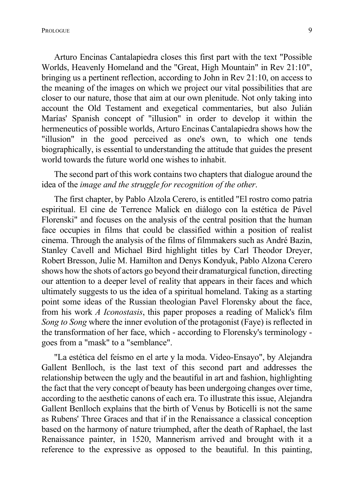Prologue 99 and 2012 1999 and 2012 1999 and 2012 1999 and 2012 1999 and 2013 1999 and 2013 1999 and 2013 1999

Arturo Encinas Cantalapiedra closes this first part with the text "Possible Worlds, Heavenly Homeland and the "Great, High Mountain" in Rev 21:10", bringing us a pertinent reflection, according to John in Rev 21:10, on access to the meaning of the images on which we project our vital possibilities that are closer to our nature, those that aim at our own plenitude. Not only taking into account the Old Testament and exegetical commentaries, but also Julián Marías' Spanish concept of "illusion" in order to develop it within the hermeneutics of possible worlds, Arturo Encinas Cantalapiedra shows how the "illusion" in the good perceived as one's own, to which one tends biographically, is essential to understanding the attitude that guides the present world towards the future world one wishes to inhabit.

The second part of this work contains two chapters that dialogue around the idea of the *image and the struggle for recognition of the other*.

The first chapter, by Pablo Alzola Cerero, is entitled "El rostro como patria espiritual. El cine de Terrence Malick en diálogo con la estética de Pável Florenski" and focuses on the analysis of the central position that the human face occupies in films that could be classified within a position of realist cinema. Through the analysis of the films of filmmakers such as André Bazin, Stanley Cavell and Michael Bird highlight titles by Carl Theodor Dreyer, Robert Bresson, Julie M. Hamilton and Denys Kondyuk, Pablo Alzona Cerero shows how the shots of actors go beyond their dramaturgical function, directing our attention to a deeper level of reality that appears in their faces and which ultimately suggests to us the idea of a spiritual homeland. Taking as a starting point some ideas of the Russian theologian Pavel Florensky about the face, from his work *A Iconostasis*, this paper proposes a reading of Malick's film *Song to Song* where the inner evolution of the protagonist (Faye) is reflected in the transformation of her face, which - according to Florensky's terminology goes from a "mask" to a "semblance".

"La estética del feísmo en el arte y la moda. Video-Ensayo", by Alejandra Gallent Benlloch, is the last text of this second part and addresses the relationship between the ugly and the beautiful in art and fashion, highlighting the fact that the very concept of beauty has been undergoing changes over time, according to the aesthetic canons of each era. To illustrate this issue, Alejandra Gallent Benlloch explains that the birth of Venus by Boticelli is not the same as Rubens' Three Graces and that if in the Renaissance a classical conception based on the harmony of nature triumphed, after the death of Raphael, the last Renaissance painter, in 1520, Mannerism arrived and brought with it a reference to the expressive as opposed to the beautiful. In this painting,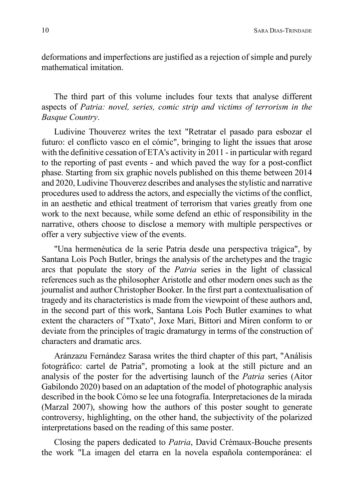deformations and imperfections are justified as a rejection of simple and purely mathematical imitation.

The third part of this volume includes four texts that analyse different aspects of *Patria: novel, series, comic strip and victims of terrorism in the Basque Country*.

Ludivine Thouverez writes the text "Retratar el pasado para esbozar el futuro: el conflicto vasco en el cómic", bringing to light the issues that arose with the definitive cessation of ETA's activity in 2011 - in particular with regard to the reporting of past events - and which paved the way for a post-conflict phase. Starting from six graphic novels published on this theme between 2014 and 2020, Ludivine Thouverez describes and analyses the stylistic and narrative procedures used to address the actors, and especially the victims of the conflict, in an aesthetic and ethical treatment of terrorism that varies greatly from one work to the next because, while some defend an ethic of responsibility in the narrative, others choose to disclose a memory with multiple perspectives or offer a very subjective view of the events.

"Una hermenéutica de la serie Patria desde una perspectiva trágica", by Santana Lois Poch Butler, brings the analysis of the archetypes and the tragic arcs that populate the story of the *Patria* series in the light of classical references such as the philosopher Aristotle and other modern ones such as the journalist and author Christopher Booker. In the first part a contextualisation of tragedy and its characteristics is made from the viewpoint of these authors and, in the second part of this work, Santana Lois Poch Butler examines to what extent the characters of "Txato", Joxe Mari, Bittori and Miren conform to or deviate from the principles of tragic dramaturgy in terms of the construction of characters and dramatic arcs.

Aránzazu Fernández Sarasa writes the third chapter of this part, "Análisis fotográfico: cartel de Patria", promoting a look at the still picture and an analysis of the poster for the advertising launch of the *Patria* series (Aitor Gabilondo 2020) based on an adaptation of the model of photographic analysis described in the book Cómo se lee una fotografía. Interpretaciones de la mirada (Marzal 2007), showing how the authors of this poster sought to generate controversy, highlighting, on the other hand, the subjectivity of the polarized interpretations based on the reading of this same poster.

Closing the papers dedicated to *Patria*, David Crémaux-Bouche presents the work "La imagen del etarra en la novela española contemporánea: el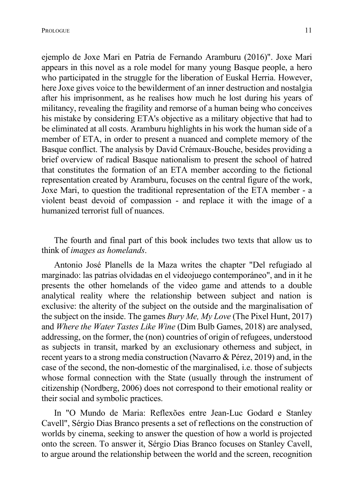ejemplo de Joxe Mari en Patria de Fernando Aramburu (2016)". Joxe Mari appears in this novel as a role model for many young Basque people, a hero who participated in the struggle for the liberation of Euskal Herria. However, here Joxe gives voice to the bewilderment of an inner destruction and nostalgia after his imprisonment, as he realises how much he lost during his years of militancy, revealing the fragility and remorse of a human being who conceives his mistake by considering ETA's objective as a military objective that had to be eliminated at all costs. Aramburu highlights in his work the human side of a member of ETA, in order to present a nuanced and complete memory of the Basque conflict. The analysis by David Crémaux-Bouche, besides providing a brief overview of radical Basque nationalism to present the school of hatred that constitutes the formation of an ETA member according to the fictional representation created by Aramburu, focuses on the central figure of the work, Joxe Mari, to question the traditional representation of the ETA member - a violent beast devoid of compassion - and replace it with the image of a humanized terrorist full of nuances.

The fourth and final part of this book includes two texts that allow us to think of *images as homelands*.

Antonio José Planells de la Maza writes the chapter "Del refugiado al marginado: las patrias olvidadas en el videojuego contemporáneo", and in it he presents the other homelands of the video game and attends to a double analytical reality where the relationship between subject and nation is exclusive: the alterity of the subject on the outside and the marginalisation of the subject on the inside. The games *Bury Me, My Love* (The Pixel Hunt, 2017) and *Where the Water Tastes Like Wine* (Dim Bulb Games, 2018) are analysed, addressing, on the former, the (non) countries of origin of refugees, understood as subjects in transit, marked by an exclusionary otherness and subject, in recent years to a strong media construction (Navarro & Pérez, 2019) and, in the case of the second, the non-domestic of the marginalised, i.e. those of subjects whose formal connection with the State (usually through the instrument of citizenship (Nordberg, 2006) does not correspond to their emotional reality or their social and symbolic practices.

In "O Mundo de Maria: Reflexões entre Jean-Luc Godard e Stanley Cavell", Sérgio Dias Branco presents a set of reflections on the construction of worlds by cinema, seeking to answer the question of how a world is projected onto the screen. To answer it, Sérgio Dias Branco focuses on Stanley Cavell, to argue around the relationship between the world and the screen, recognition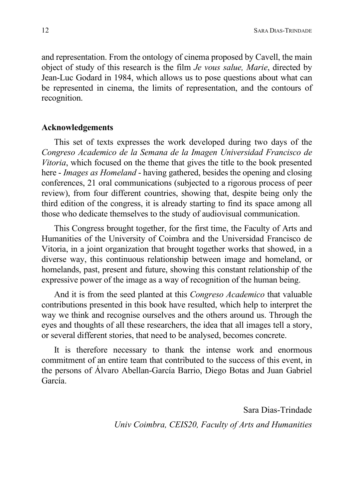and representation. From the ontology of cinema proposed by Cavell, the main object of study of this research is the film *Je vous salue, Marie*, directed by Jean-Luc Godard in 1984, which allows us to pose questions about what can be represented in cinema, the limits of representation, and the contours of recognition.

### **Acknowledgements**

This set of texts expresses the work developed during two days of the *Congreso Academico de la Semana de la Imagen Universidad Francisco de Vitoria*, which focused on the theme that gives the title to the book presented here - *Images as Homeland* - having gathered, besides the opening and closing conferences, 21 oral communications (subjected to a rigorous process of peer review), from four different countries, showing that, despite being only the third edition of the congress, it is already starting to find its space among all those who dedicate themselves to the study of audiovisual communication.

This Congress brought together, for the first time, the Faculty of Arts and Humanities of the University of Coimbra and the Universidad Francisco de Vitoria, in a joint organization that brought together works that showed, in a diverse way, this continuous relationship between image and homeland, or homelands, past, present and future, showing this constant relationship of the expressive power of the image as a way of recognition of the human being.

And it is from the seed planted at this *Congreso Academico* that valuable contributions presented in this book have resulted, which help to interpret the way we think and recognise ourselves and the others around us. Through the eyes and thoughts of all these researchers, the idea that all images tell a story, or several different stories, that need to be analysed, becomes concrete.

It is therefore necessary to thank the intense work and enormous commitment of an entire team that contributed to the success of this event, in the persons of Álvaro Abellan-García Barrio, Diego Botas and Juan Gabriel García.

> Sara Dias-Trindade *Univ Coimbra, CEIS20, Faculty of Arts and Humanities*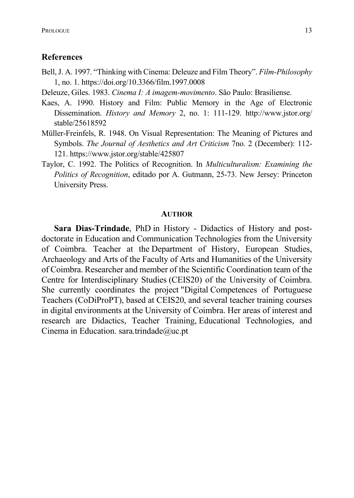#### **References**

- Bell, J. A. 1997. "Thinking with Cinema: Deleuze and Film Theory". *Film-Philosophy* 1, no. 1. https://doi.org/10.3366/film.1997.0008
- Deleuze, Giles. 1983. *Cinema I: A imagem-movimento*. São Paulo: Brasiliense.
- Kaes, A. 1990. History and Film: Public Memory in the Age of Electronic Dissemination. *History and Memory* 2, no. 1: 111-129. http://www.jstor.org/ stable/25618592
- Müller-Freinfels, R. 1948. On Visual Representation: The Meaning of Pictures and Symbols. *The Journal of Aesthetics and Art Criticism* 7no. 2 (December): 112- 121. https://www.jstor.org/stable/425807
- Taylor, C. 1992. The Politics of Recognition. In *Multiculturalism: Examining the Politics of Recognition*, editado por A. Gutmann, 25-73. New Jersey: Princeton University Press.

#### **AUTHOR**

**Sara Dias-Trindade**, PhD in History - Didactics of History and postdoctorate in Education and Communication Technologies from the University of Coimbra. Teacher at the Department of History, European Studies, Archaeology and Arts of the Faculty of Arts and Humanities of the University of Coimbra. Researcher and member of the Scientific Coordination team of the Centre for Interdisciplinary Studies (CEIS20) of the University of Coimbra. She currently coordinates the project "Digital Competences of Portuguese Teachers (CoDiProPT), based at CEIS20, and several teacher training courses in digital environments at the University of Coimbra. Her areas of interest and research are Didactics, Teacher Training, Educational Technologies, and Cinema in Education. sara.trindade@uc.pt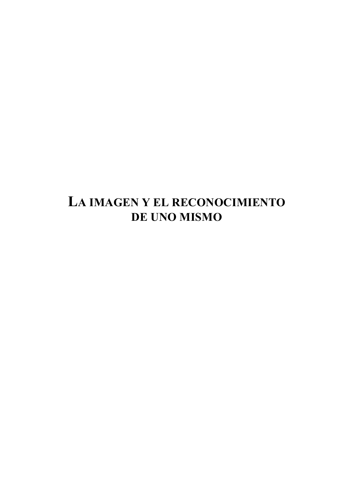# LA IMAGEN Y EL RECONOCIMIENTO DE UNO MISMO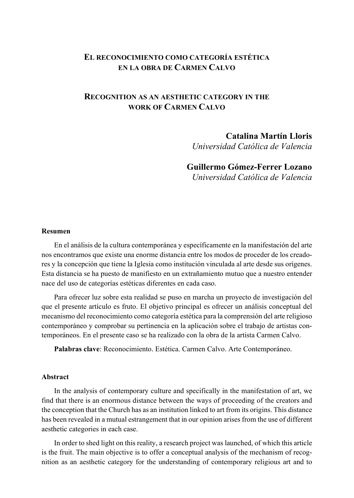### **EL RECONOCIMIENTO COMO CATEGORÍA ESTÉTICA EN LA OBRA DE CARMEN CALVO**

### **RECOGNITION AS AN AESTHETIC CATEGORY IN THE WORK OF CARMEN CALVO**

### **Catalina Martín Lloris**

*Universidad Católica de Valencia* 

#### **Guillermo Gómez-Ferrer Lozano**

*Universidad Católica de Valencia* 

#### **Resumen**

En el análisis de la cultura contemporánea y específicamente en la manifestación del arte nos encontramos que existe una enorme distancia entre los modos de proceder de los creadores y la concepción que tiene la Iglesia como institución vinculada al arte desde sus orígenes. Esta distancia se ha puesto de manifiesto en un extrañamiento mutuo que a nuestro entender nace del uso de categorías estéticas diferentes en cada caso.

Para ofrecer luz sobre esta realidad se puso en marcha un proyecto de investigación del que el presente artículo es fruto. El objetivo principal es ofrecer un análisis conceptual del mecanismo del reconocimiento como categoría estética para la comprensión del arte religioso contemporáneo y comprobar su pertinencia en la aplicación sobre el trabajo de artistas contemporáneos. En el presente caso se ha realizado con la obra de la artista Carmen Calvo.

**Palabras clave**: Reconocimiento. Estética. Carmen Calvo. Arte Contemporáneo.

#### **Abstract**

In the analysis of contemporary culture and specifically in the manifestation of art, we find that there is an enormous distance between the ways of proceeding of the creators and the conception that the Church has as an institution linked to art from its origins. This distance has been revealed in a mutual estrangement that in our opinion arises from the use of different aesthetic categories in each case.

In order to shed light on this reality, a research project was launched, of which this article is the fruit. The main objective is to offer a conceptual analysis of the mechanism of recognition as an aesthetic category for the understanding of contemporary religious art and to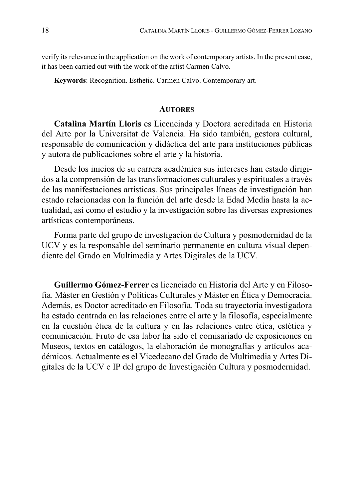verify its relevance in the application on the work of contemporary artists. In the present case, it has been carried out with the work of the artist Carmen Calvo.

**Keywords**: Recognition. Esthetic. Carmen Calvo. Contemporary art.

#### **AUTORES**

**Catalina Martín Lloris** es Licenciada y Doctora acreditada en Historia del Arte por la Universitat de Valencia. Ha sido también, gestora cultural, responsable de comunicación y didáctica del arte para instituciones públicas y autora de publicaciones sobre el arte y la historia.

Desde los inicios de su carrera académica sus intereses han estado dirigidos a la comprensión de las transformaciones culturales y espirituales a través de las manifestaciones artísticas. Sus principales líneas de investigación han estado relacionadas con la función del arte desde la Edad Media hasta la actualidad, así como el estudio y la investigación sobre las diversas expresiones artísticas contemporáneas.

Forma parte del grupo de investigación de Cultura y posmodernidad de la UCV y es la responsable del seminario permanente en cultura visual dependiente del Grado en Multimedia y Artes Digitales de la UCV.

**Guillermo Gómez-Ferrer** es licenciado en Historia del Arte y en Filosofía. Máster en Gestión y Políticas Culturales y Máster en Ética y Democracia. Además, es Doctor acreditado en Filosofía. Toda su trayectoria investigadora ha estado centrada en las relaciones entre el arte y la filosofía, especialmente en la cuestión ética de la cultura y en las relaciones entre ética, estética y comunicación. Fruto de esa labor ha sido el comisariado de exposiciones en Museos, textos en catálogos, la elaboración de monografías y artículos académicos. Actualmente es el Vicedecano del Grado de Multimedia y Artes Digitales de la UCV e IP del grupo de Investigación Cultura y posmodernidad.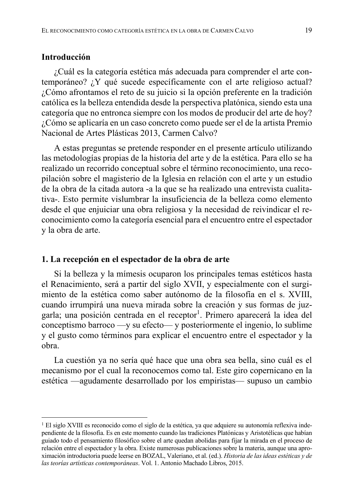### **Introducción**

¿Cuál es la categoría estética más adecuada para comprender el arte contemporáneo? ¿Y qué sucede específicamente con el arte religioso actual? ¿Cómo afrontamos el reto de su juicio si la opción preferente en la tradición católica es la belleza entendida desde la perspectiva platónica, siendo esta una categoría que no entronca siempre con los modos de producir del arte de hoy? ¿Cómo se aplicaría en un caso concreto como puede ser el de la artista Premio Nacional de Artes Plásticas 2013, Carmen Calvo?

A estas preguntas se pretende responder en el presente artículo utilizando las metodologías propias de la historia del arte y de la estética. Para ello se ha realizado un recorrido conceptual sobre el término reconocimiento, una recopilación sobre el magisterio de la Iglesia en relación con el arte y un estudio de la obra de la citada autora -a la que se ha realizado una entrevista cualitativa-. Esto permite vislumbrar la insuficiencia de la belleza como elemento desde el que enjuiciar una obra religiosa y la necesidad de reivindicar el reconocimiento como la categoría esencial para el encuentro entre el espectador y la obra de arte.

#### **1. La recepción en el espectador de la obra de arte**

Si la belleza y la mímesis ocuparon los principales temas estéticos hasta el Renacimiento, será a partir del siglo XVII, y especialmente con el surgimiento de la estética como saber autónomo de la filosofía en el s. XVIII, cuando irrumpirá una nueva mirada sobre la creación y sus formas de juzgarla; una posición centrada en el receptor<sup>1</sup>. Primero aparecerá la idea del conceptismo barroco —y su efecto— y posteriormente el ingenio, lo sublime y el gusto como términos para explicar el encuentro entre el espectador y la obra.

La cuestión ya no sería qué hace que una obra sea bella, sino cuál es el mecanismo por el cual la reconocemos como tal. Este giro copernicano en la estética —agudamente desarrollado por los empiristas— supuso un cambio

<sup>&</sup>lt;sup>1</sup> El siglo XVIII es reconocido como el siglo de la estética, ya que adquiere su autonomía reflexiva independiente de la filosofía. Es en este momento cuando las tradiciones Platónicas y Aristotélicas que habían guiado todo el pensamiento filosófico sobre el arte quedan abolidas para fijar la mirada en el proceso de relación entre el espectador y la obra. Existe numerosas publicaciones sobre la materia, aunque una aproximación introductoria puede leerse en BOZAL, Valeriano, et al. (ed.). *Historia de las ideas estéticas y de las teorías artísticas contemporáneas*. Vol. 1. Antonio Machado Libros, 2015.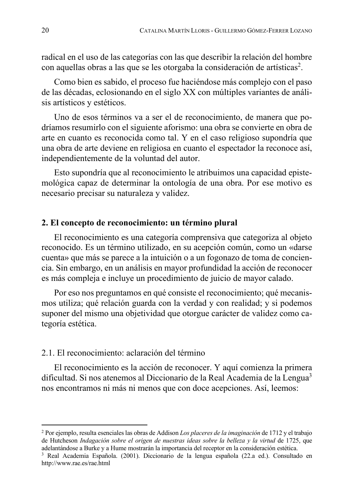radical en el uso de las categorías con las que describir la relación del hombre con aquellas obras a las que se les otorgaba la consideración de artísticas<sup>2</sup>.

Como bien es sabido, el proceso fue haciéndose más complejo con el paso de las décadas, eclosionando en el siglo XX con múltiples variantes de análisis artísticos y estéticos.

Uno de esos términos va a ser el de reconocimiento, de manera que podríamos resumirlo con el siguiente aforismo: una obra se convierte en obra de arte en cuanto es reconocida como tal. Y en el caso religioso supondría que una obra de arte deviene en religiosa en cuanto el espectador la reconoce así, independientemente de la voluntad del autor.

Esto supondría que al reconocimiento le atribuimos una capacidad epistemológica capaz de determinar la ontología de una obra. Por ese motivo es necesario precisar su naturaleza y validez.

#### **2. El concepto de reconocimiento: un término plural**

El reconocimiento es una categoría comprensiva que categoriza al objeto reconocido. Es un término utilizado, en su acepción común, como un «darse cuenta» que más se parece a la intuición o a un fogonazo de toma de conciencia. Sin embargo, en un análisis en mayor profundidad la acción de reconocer es más compleja e incluye un procedimiento de juicio de mayor calado.

Por eso nos preguntamos en qué consiste el reconocimiento; qué mecanismos utiliza; qué relación guarda con la verdad y con realidad; y si podemos suponer del mismo una objetividad que otorgue carácter de validez como categoría estética.

### 2.1. El reconocimiento: aclaración del término

El reconocimiento es la acción de reconocer. Y aquí comienza la primera dificultad. Si nos atenemos al Diccionario de la Real Academia de la Lengua<sup>3</sup> nos encontramos ni más ni menos que con doce acepciones. Así, leemos:

<sup>2</sup> Por ejemplo, resulta esenciales las obras de Addison *Los placeres de la imaginación* de 1712 y el trabajo de Hutcheson *Indagación sobre el origen de nuestras ideas sobre la belleza y la virtud* de 1725, que adelantándose a Burke y a Hume mostrarán la importancia del receptor en la consideración estética.

<sup>3</sup> Real Academia Española. (2001). Diccionario de la lengua española (22.a ed.). Consultado en http://www.rae.es/rae.html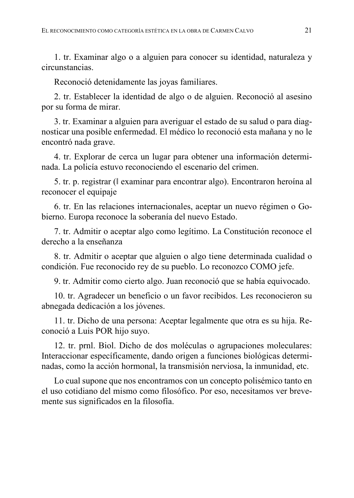1. tr. Examinar algo o a alguien para conocer su identidad, naturaleza y circunstancias.

Reconoció detenidamente las joyas familiares.

2. tr. Establecer la identidad de algo o de alguien. Reconoció al asesino por su forma de mirar.

3. tr. Examinar a alguien para averiguar el estado de su salud o para diagnosticar una posible enfermedad. El médico lo reconoció esta mañana y no le encontró nada grave.

4. tr. Explorar de cerca un lugar para obtener una información determinada. La policía estuvo reconociendo el escenario del crimen.

5. tr. p. registrar (‖ examinar para encontrar algo). Encontraron heroína al reconocer el equipaje

6. tr. En las relaciones internacionales, aceptar un nuevo régimen o Gobierno. Europa reconoce la soberanía del nuevo Estado.

7. tr. Admitir o aceptar algo como legítimo. La Constitución reconoce el derecho a la enseñanza

8. tr. Admitir o aceptar que alguien o algo tiene determinada cualidad o condición. Fue reconocido rey de su pueblo. Lo reconozco COMO jefe.

9. tr. Admitir como cierto algo. Juan reconoció que se había equivocado.

10. tr. Agradecer un beneficio o un favor recibidos. Les reconocieron su abnegada dedicación a los jóvenes.

11. tr. Dicho de una persona: Aceptar legalmente que otra es su hija. Reconoció a Luis POR hijo suyo.

12. tr. prnl. Biol. Dicho de dos moléculas o agrupaciones moleculares: Interaccionar específicamente, dando origen a funciones biológicas determinadas, como la acción hormonal, la transmisión nerviosa, la inmunidad, etc.

Lo cual supone que nos encontramos con un concepto polisémico tanto en el uso cotidiano del mismo como filosófico. Por eso, necesitamos ver brevemente sus significados en la filosofía.